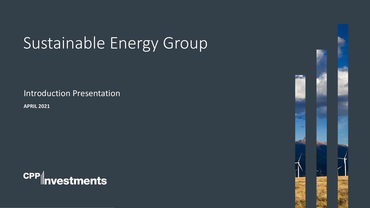# Sustainable Energy Group

Introduction Presentation

**APRIL 2021**



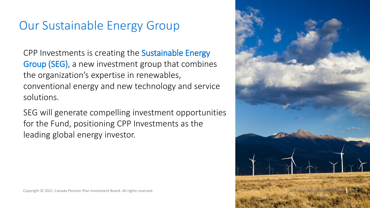## Our Sustainable Energy Group

CPP Investments is creating the Sustainable Energy Group (SEG), a new investment group that combines the organization's expertise in renewables, conventional energy and new technology and service solutions.

SEG will generate compelling investment opportunities for the Fund, positioning CPP Investments as the leading global energy investor.

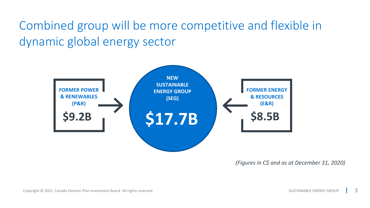Combined group will be more competitive and flexible in dynamic global energy sector



*(Figures in C\$ and as at December 31, 2020)*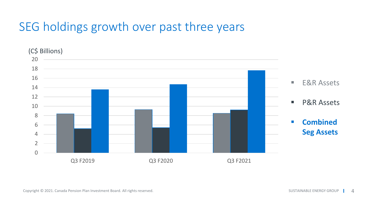## SEG holdings growth over past three years

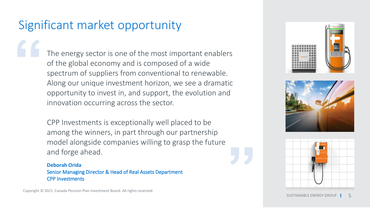## Significant market opportunity

The energy sector is one of the most important enablers of the global economy and is composed of a wide spectrum of suppliers from conventional to renewable. Along our unique investment horizon, we see a dramatic opportunity to invest in, and support, the evolution and innovation occurring across the sector.

CPP Investments is exceptionally well placed to be among the winners, in part through our partnership model alongside companies willing to grasp the future and forge ahead.

**Deborah Orida** Senior Managing Director & Head of Real Assets Department CPP Investments

Copyright © 2021. Canada Pension Plan Investment Board. All rights reserved.





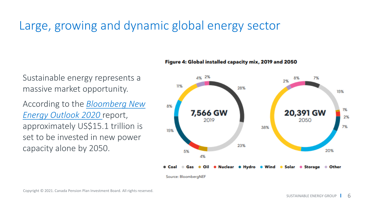## Large, growing and dynamic global energy sector

Sustainable energy represents a massive market opportunity.

According to the *Bloomberg New [Energy Outlook 2020](https://about.bnef.com/new-energy-outlook/)* report, approximately US\$15.1 trillion is set to be invested in new power capacity alone by 2050.

### Figure 4: Global installed capacity mix, 2019 and 2050



Source: BloombergNEF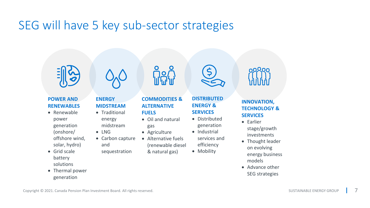### SEG will have 5 key sub-sector strategies



### **POWER AND RENEWABLES**

- Renewable power generation (onshore/ offshore wind,
- solar, hydro)
- Grid scale battery solutions
- Thermal power generation



### **ENERGY MIDSTREAM**

- Traditional energy midstream
- LNG
- Carbon capture and
	- sequestration



**COMMODITIES & ALTERNATIVE FUELS**

- Oil and natural gas
- Agriculture
- Alternative fuels (renewable diesel & natural gas)
	-



### **DISTRIBUTED ENERGY & SERVICES**

- Distributed generation
- Industrial services and efficiency
- Mobility



naQan

- Earlier stage/growth investments
- Thought leader on evolving energy business models
- Advance other SEG strategies

7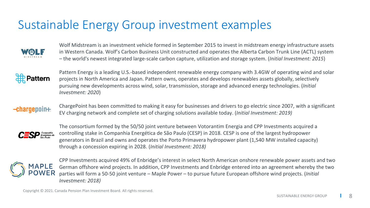## Sustainable Energy Group investment examples



Wolf Midstream is an investment vehicle formed in September 2015 to invest in midstream energy infrastructure assets in Western Canada. Wolf's Carbon Business Unit constructed and operates the Alberta Carbon Trunk Line (ACTL) system – the world's newest integrated large-scale carbon capture, utilization and storage system. (*Initial Investment: 2015*)



Pattern Energy is a leading U.S.-based independent renewable energy company with 3.4GW of operating wind and solar projects in North America and Japan. Pattern owns, operates and develops renewables assets globally, selectively pursuing new developments across wind, solar, transmission, storage and advanced energy technologies. (*Initial Investment: 2020*)

### $\bullet$ charoenoin $\bullet$

ChargePoint has been committed to making it easy for businesses and drivers to go electric since 2007, with a significant EV charging network and complete set of charging solutions available today. (*Initial Investment: 2019)*



The consortium formed by the 50/50 joint venture between Votorantim Energia and CPP Investments acquired a controlling stake in Companhia Energética de São Paulo (CESP) in 2018. CESP is one of the largest hydropower generators in Brazil and owns and operates the Porto Primavera hydropower plant (1,540 MW installed capacity) through a concession expiring in 2028. (*Initial Investment: 2018)* 



CPP Investments acquired 49% of Enbridge's interest in select North American onshore renewable power assets and two German offshore wind projects. In addition, CPP Investments and Enbridge entered into an agreement whereby the two parties will form a 50-50 joint venture – Maple Power – to pursue future European offshore wind projects. (*Initial Investment: 2018)*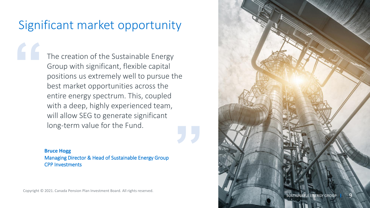## Significant market opportunity

The creation of the Sustainable Energy Group with significant, flexible capital positions us extremely well to pursue the best market opportunities across the entire energy spectrum. This, coupled with a deep, highly experienced team, will allow SEG to generate significant long-term value for the Fund.

**Bruce Hogg** Managing Director & Head of Sustainable Energy Group CPP Investments

Copyright © 2021. Canada Pension Plan Investment Board. All rights reserved.

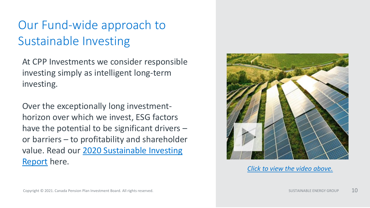## Our Fund-wide approach to Sustainable Investing

At CPP Investments we consider responsible investing simply as intelligent long-term investing.

Over the exceptionally long investmenthorizon over which we invest, ESG factors have the potential to be significant drivers – or barriers – to profitability and shareholder [value. Read our 2020 Sustainable Investing](https://www.cppinvestments.com/the-fund/sustainable-investing) Report here.



*[Click to view the video above.](https://www.cppinvestments.com/the-fund/sustainable-investing)*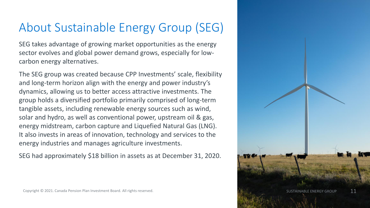## About Sustainable Energy Group (SEG)

SEG takes advantage of growing market opportunities as the energy sector evolves and global power demand grows, especially for lowcarbon energy alternatives.

The SEG group was created because CPP Investments' scale, flexibility and long-term horizon align with the energy and power industry's dynamics, allowing us to better access attractive investments. The group holds a diversified portfolio primarily comprised of long-term tangible assets, including renewable energy sources such as wind, solar and hydro, as well as conventional power, upstream oil & gas, energy midstream, carbon capture and Liquefied Natural Gas (LNG). It also invests in areas of innovation, technology and services to the energy industries and manages agriculture investments.

SEG had approximately \$18 billion in assets as at December 31, 2020.

AINABLE ENERGY GROUP  $^{\rm 11}$ 

Copyright © 2021. Canada Pension Plan Investment Board. All rights reserved.